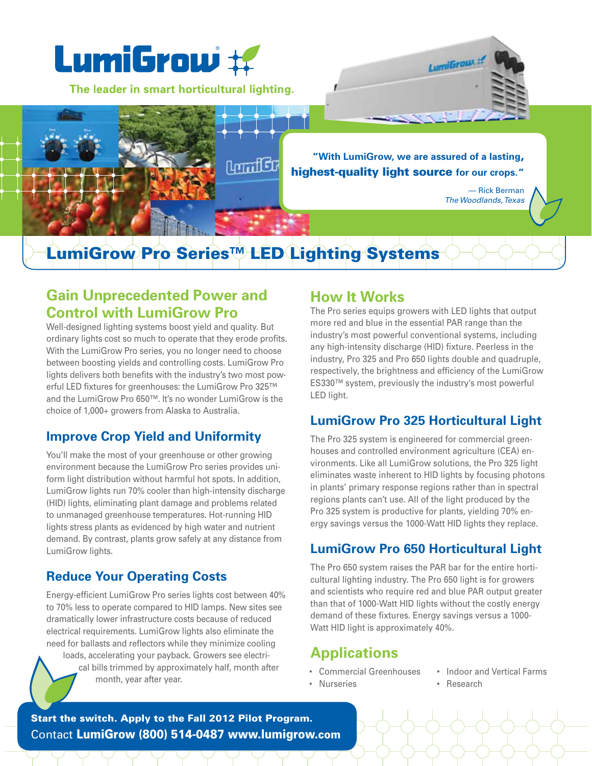

## **Gain Unprecedented Power and Control with LumiGrow Pro**

Well-designed lighting systems boost yield and quality. But ordinary lights cost so much to operate that they erode profits. With the LumiGrow Pro series, you no longer need to choose between boosting yields and controlling costs. LumiGrow Pro lights delivers both benefits with the industry's two most powerful LED fixtures for greenhouses: the LumiGrow Pro 325™ and the LumiGrow Pro 650™. It's no wonder LumiGrow is the choice of 1,000+ growers from Alaska to Australia.

### **Improve Crop Yield and Uniformity**

You'll make the most of your greenhouse or other growing environment because the LumiGrow Pro series provides uniform light distribution without harmful hot spots. In addition, LumiGrow lights run 70% cooler than high-intensity discharge (HID) lights, eliminating plant damage and problems related to unmanaged greenhouse temperatures. Hot-running HID lights stress plants as evidenced by high water and nutrient demand. By contrast, plants grow safely at any distance from LumiGrow lights.

### **Reduce Your Operating Costs**

Energy-efficient LumiGrow Pro series lights cost between 40% to 70% less to operate compared to HID lamps. New sites see dramatically lower infrastructure costs because of reduced electrical requirements. LumiGrow lights also eliminate the need for ballasts and reflectors while they minimize cooling loads, accelerating your payback. Growers see electrical bills trimmed by approximately half, month after month, year after year.

### **How It Works**

The Pro series equips growers with LED lights that output more red and blue in the essential PAR range than the industry's most powerful conventional systems, including any high-intensity discharge (HID) fixture. Peerless in the industry, Pro 325 and Pro 650 lights double and quadruple, respectively, the brightness and efficiency of the LumiGrow ES330™ system, previously the industry's most powerful LED light.

### **LumiGrow Pro 325 Horticultural Light**

The Pro 325 system is engineered for commercial greenhouses and controlled environment agriculture (CEA) environments. Like all LumiGrow solutions, the Pro 325 light eliminates waste inherent to HID lights by focusing photons in plants' primary response regions rather than in spectral regions plants can't use. All of the light produced by the Pro 325 system is productive for plants, yielding 70% energy savings versus the 1000-Watt HID lights they replace.

### **LumiGrow Pro 650 Horticultural Light**

The Pro 650 system raises the PAR bar for the entire horticultural lighting industry. The Pro 650 light is for growers and scientists who require red and blue PAR output greater than that of 1000-Watt HID lights without the costly energy demand of these fixtures. Energy savings versus a 1000- Watt HID light is approximately 40%.

# **Applications**

- 
- Nurseries Research
- Commercial Greenhouses Indoor and Vertical Farms
	-

Start the switch. Apply to the Fall 2012 Pilot Program. Contact LumiGrow (800) 514-0487 www.lumigrow.com